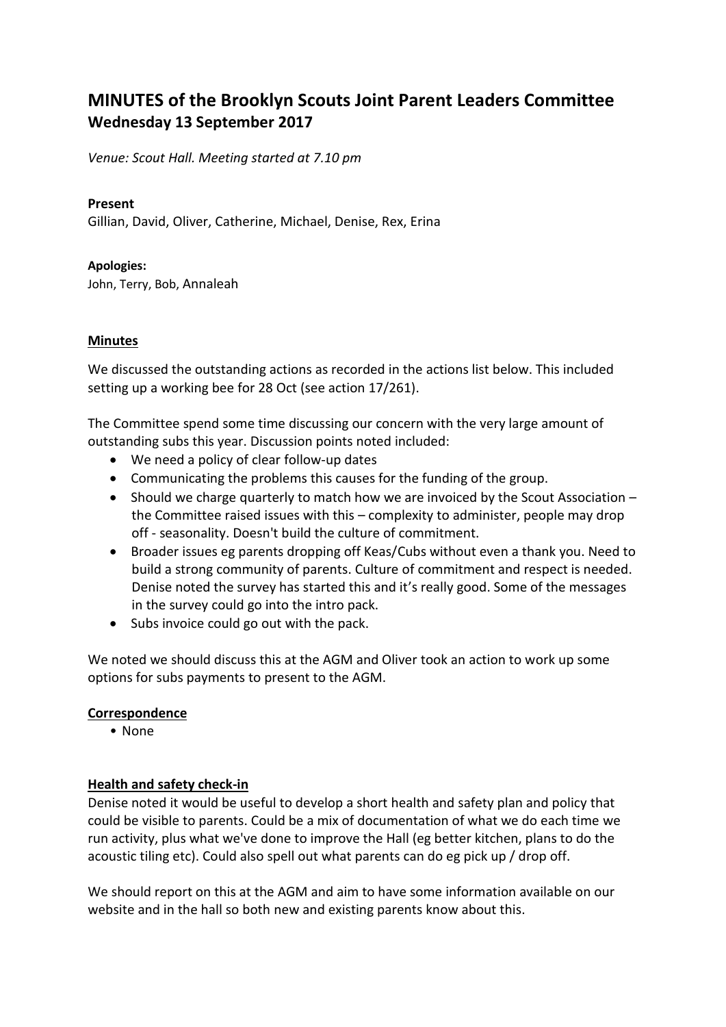# **MINUTES of the Brooklyn Scouts Joint Parent Leaders Committee Wednesday 13 September 2017**

*Venue: Scout Hall. Meeting started at 7.10 pm*

## **Present**

Gillian, David, Oliver, Catherine, Michael, Denise, Rex, Erina

## **Apologies:**

John, Terry, Bob, Annaleah

## **Minutes**

We discussed the outstanding actions as recorded in the actions list below. This included setting up a working bee for 28 Oct (see action 17/261).

The Committee spend some time discussing our concern with the very large amount of outstanding subs this year. Discussion points noted included:

- We need a policy of clear follow-up dates
- Communicating the problems this causes for the funding of the group.
- Should we charge quarterly to match how we are invoiced by the Scout Association the Committee raised issues with this – complexity to administer, people may drop off - seasonality. Doesn't build the culture of commitment.
- Broader issues eg parents dropping off Keas/Cubs without even a thank you. Need to build a strong community of parents. Culture of commitment and respect is needed. Denise noted the survey has started this and it's really good. Some of the messages in the survey could go into the intro pack.
- Subs invoice could go out with the pack.

We noted we should discuss this at the AGM and Oliver took an action to work up some options for subs payments to present to the AGM.

## **Correspondence**

• None

## **Health and safety check-in**

Denise noted it would be useful to develop a short health and safety plan and policy that could be visible to parents. Could be a mix of documentation of what we do each time we run activity, plus what we've done to improve the Hall (eg better kitchen, plans to do the acoustic tiling etc). Could also spell out what parents can do eg pick up / drop off.

We should report on this at the AGM and aim to have some information available on our website and in the hall so both new and existing parents know about this.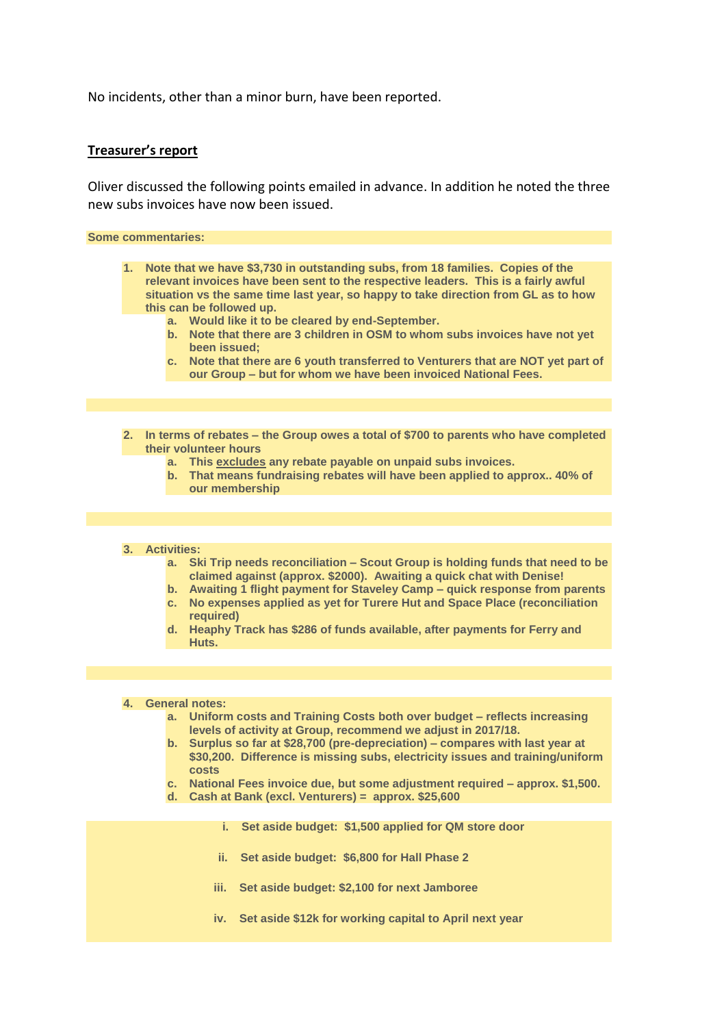No incidents, other than a minor burn, have been reported.

#### **Treasurer's report**

Oliver discussed the following points emailed in advance. In addition he noted the three new subs invoices have now been issued.

**Some commentaries:**

- **1. Note that we have \$3,730 in outstanding subs, from 18 families. Copies of the relevant invoices have been sent to the respective leaders. This is a fairly awful situation vs the same time last year, so happy to take direction from GL as to how this can be followed up.**
	- **a. Would like it to be cleared by end-September.**
	- **b. Note that there are 3 children in OSM to whom subs invoices have not yet been issued;**
	- **c. Note that there are 6 youth transferred to Venturers that are NOT yet part of our Group – but for whom we have been invoiced National Fees.**
- **2. In terms of rebates – the Group owes a total of \$700 to parents who have completed their volunteer hours**
	- **a. This excludes any rebate payable on unpaid subs invoices.**
	- **b. That means fundraising rebates will have been applied to approx.. 40% of our membership**

#### **3. Activities:**

- **a. Ski Trip needs reconciliation – Scout Group is holding funds that need to be claimed against (approx. \$2000). Awaiting a quick chat with Denise!**
- **b. Awaiting 1 flight payment for Staveley Camp – quick response from parents c. No expenses applied as yet for Turere Hut and Space Place (reconciliation**
- **required) d. Heaphy Track has \$286 of funds available, after payments for Ferry and**

#### **4. General notes:**

**Huts.**

- **a. Uniform costs and Training Costs both over budget – reflects increasing levels of activity at Group, recommend we adjust in 2017/18.**
- **b. Surplus so far at \$28,700 (pre-depreciation) – compares with last year at \$30,200. Difference is missing subs, electricity issues and training/uniform costs**
- **c. National Fees invoice due, but some adjustment required – approx. \$1,500.**
- **d. Cash at Bank (excl. Venturers) = approx. \$25,600**
	- **i. Set aside budget: \$1,500 applied for QM store door**
	- **ii. Set aside budget: \$6,800 for Hall Phase 2**
	- **iii. Set aside budget: \$2,100 for next Jamboree**
	- **iv. Set aside \$12k for working capital to April next year**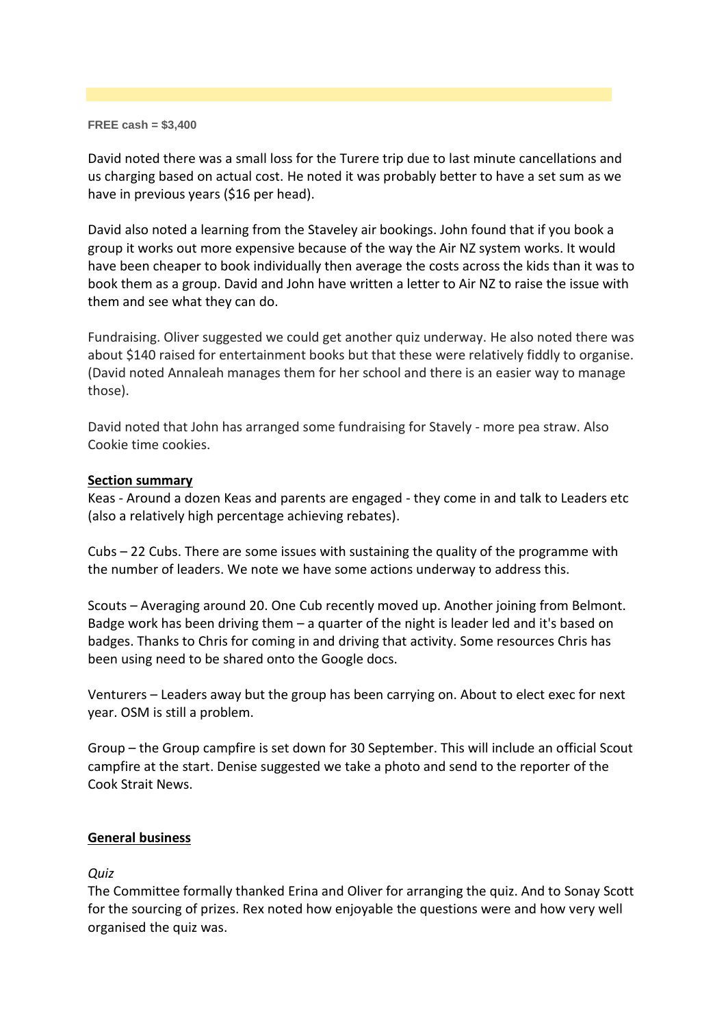#### **FREE cash = \$3,400**

David noted there was a small loss for the Turere trip due to last minute cancellations and us charging based on actual cost. He noted it was probably better to have a set sum as we have in previous years (\$16 per head).

David also noted a learning from the Staveley air bookings. John found that if you book a group it works out more expensive because of the way the Air NZ system works. It would have been cheaper to book individually then average the costs across the kids than it was to book them as a group. David and John have written a letter to Air NZ to raise the issue with them and see what they can do.

Fundraising. Oliver suggested we could get another quiz underway. He also noted there was about \$140 raised for entertainment books but that these were relatively fiddly to organise. (David noted Annaleah manages them for her school and there is an easier way to manage those).

David noted that John has arranged some fundraising for Stavely - more pea straw. Also Cookie time cookies.

## **Section summary**

Keas - Around a dozen Keas and parents are engaged - they come in and talk to Leaders etc (also a relatively high percentage achieving rebates).

Cubs – 22 Cubs. There are some issues with sustaining the quality of the programme with the number of leaders. We note we have some actions underway to address this.

Scouts – Averaging around 20. One Cub recently moved up. Another joining from Belmont. Badge work has been driving them – a quarter of the night is leader led and it's based on badges. Thanks to Chris for coming in and driving that activity. Some resources Chris has been using need to be shared onto the Google docs.

Venturers – Leaders away but the group has been carrying on. About to elect exec for next year. OSM is still a problem.

Group – the Group campfire is set down for 30 September. This will include an official Scout campfire at the start. Denise suggested we take a photo and send to the reporter of the Cook Strait News.

## **General business**

*Quiz*

The Committee formally thanked Erina and Oliver for arranging the quiz. And to Sonay Scott for the sourcing of prizes. Rex noted how enjoyable the questions were and how very well organised the quiz was.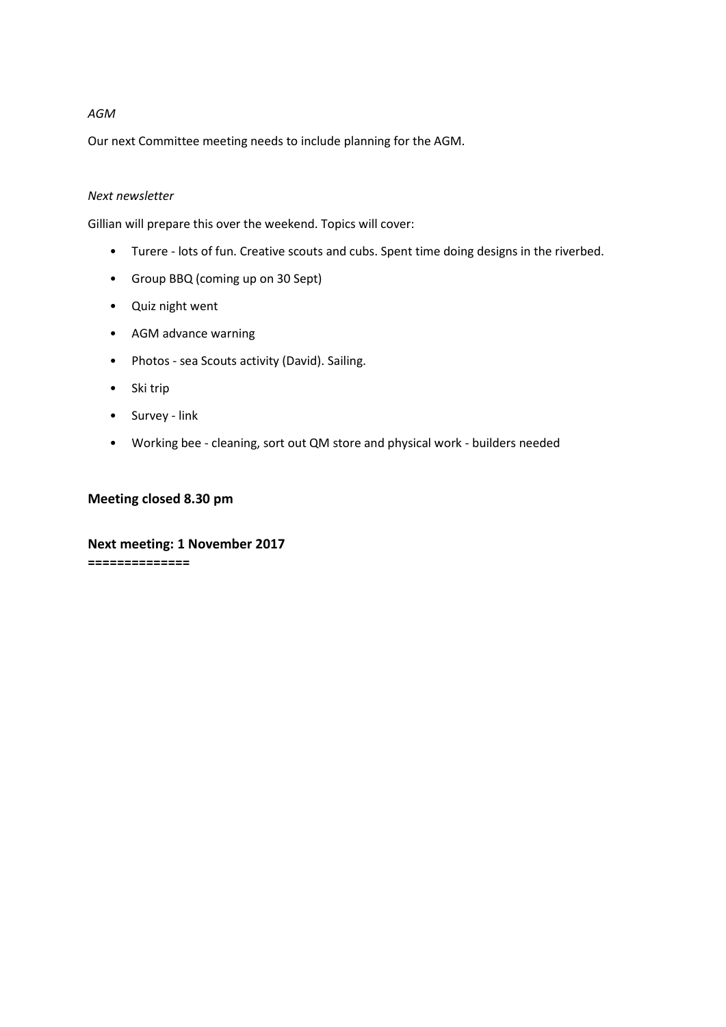### *AGM*

Our next Committee meeting needs to include planning for the AGM.

#### *Next newsletter*

Gillian will prepare this over the weekend. Topics will cover:

- Turere lots of fun. Creative scouts and cubs. Spent time doing designs in the riverbed.
- Group BBQ (coming up on 30 Sept)
- Quiz night went
- AGM advance warning
- Photos sea Scouts activity (David). Sailing.
- Ski trip
- Survey link
- Working bee cleaning, sort out QM store and physical work builders needed

### **Meeting closed 8.30 pm**

**Next meeting: 1 November 2017 ==============**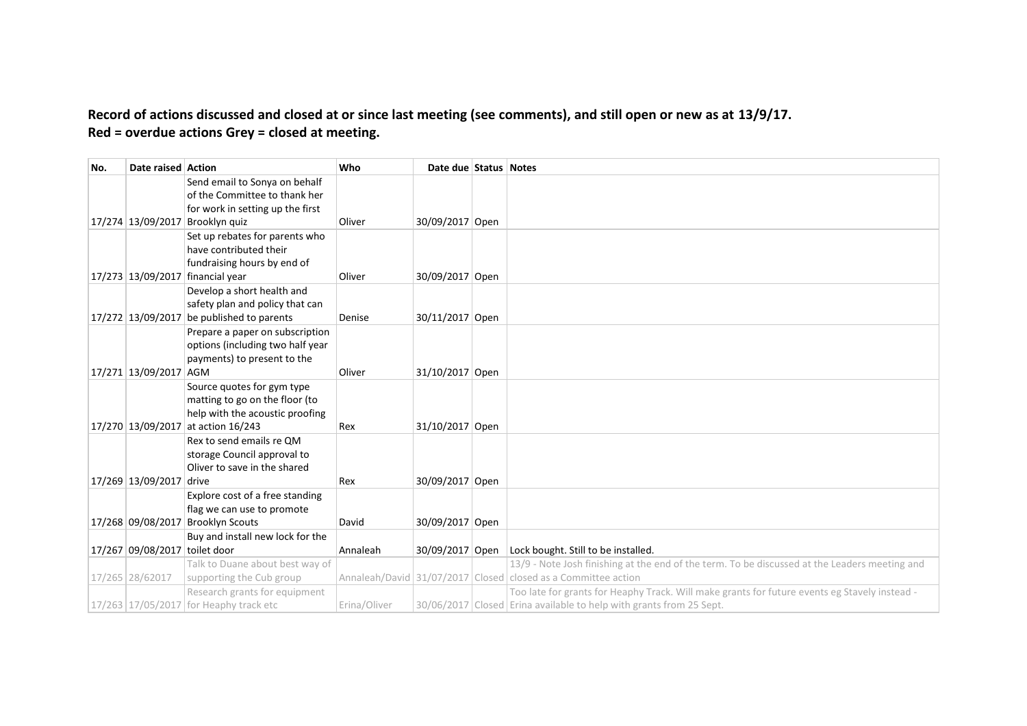## **Record of actions discussed and closed at or since last meeting (see comments), and still open or new as at 13/9/17. Red = overdue actions Grey = closed at meeting.**

| No. | Date raised Action            |                                                                 | Who          | Date due Status Notes |                                                                                               |
|-----|-------------------------------|-----------------------------------------------------------------|--------------|-----------------------|-----------------------------------------------------------------------------------------------|
|     |                               | Send email to Sonya on behalf                                   |              |                       |                                                                                               |
|     |                               | of the Committee to thank her                                   |              |                       |                                                                                               |
|     |                               | for work in setting up the first                                |              |                       |                                                                                               |
|     |                               | 17/274 13/09/2017 Brooklyn quiz                                 | Oliver       | 30/09/2017 Open       |                                                                                               |
|     |                               | Set up rebates for parents who                                  |              |                       |                                                                                               |
|     |                               | have contributed their                                          |              |                       |                                                                                               |
|     |                               | fundraising hours by end of                                     |              |                       |                                                                                               |
|     |                               | 17/273 13/09/2017 financial year                                | Oliver       | 30/09/2017 Open       |                                                                                               |
|     |                               | Develop a short health and<br>safety plan and policy that can   |              |                       |                                                                                               |
|     |                               | 17/272 13/09/2017 be published to parents                       | Denise       | 30/11/2017 Open       |                                                                                               |
|     |                               | Prepare a paper on subscription                                 |              |                       |                                                                                               |
|     |                               | options (including two half year                                |              |                       |                                                                                               |
|     |                               | payments) to present to the                                     |              |                       |                                                                                               |
|     | 17/271 13/09/2017 AGM         |                                                                 | Oliver       | 31/10/2017 Open       |                                                                                               |
|     |                               | Source quotes for gym type                                      |              |                       |                                                                                               |
|     |                               | matting to go on the floor (to                                  |              |                       |                                                                                               |
|     |                               | help with the acoustic proofing                                 |              |                       |                                                                                               |
|     |                               | 17/270 13/09/2017 at action 16/243                              | Rex          | 31/10/2017 Open       |                                                                                               |
|     |                               | Rex to send emails re QM                                        |              |                       |                                                                                               |
|     |                               | storage Council approval to                                     |              |                       |                                                                                               |
|     |                               | Oliver to save in the shared                                    |              |                       |                                                                                               |
|     | 17/269 13/09/2017 drive       |                                                                 | Rex          | 30/09/2017 Open       |                                                                                               |
|     |                               | Explore cost of a free standing                                 |              |                       |                                                                                               |
|     |                               | flag we can use to promote<br>17/268 09/08/2017 Brooklyn Scouts | David        | 30/09/2017 Open       |                                                                                               |
|     |                               | Buy and install new lock for the                                |              |                       |                                                                                               |
|     | 17/267 09/08/2017 toilet door |                                                                 | Annaleah     | 30/09/2017 Open       | Lock bought. Still to be installed.                                                           |
|     |                               | Talk to Duane about best way of                                 |              |                       | 13/9 - Note Josh finishing at the end of the term. To be discussed at the Leaders meeting and |
|     | 17/265 28/62017               | supporting the Cub group                                        |              |                       | Annaleah/David 31/07/2017 Closed closed as a Committee action                                 |
|     |                               | Research grants for equipment                                   |              |                       | Too late for grants for Heaphy Track. Will make grants for future events eg Stavely instead - |
|     |                               | 17/263 17/05/2017 for Heaphy track etc                          | Erina/Oliver |                       | 30/06/2017 Closed Erina available to help with grants from 25 Sept.                           |